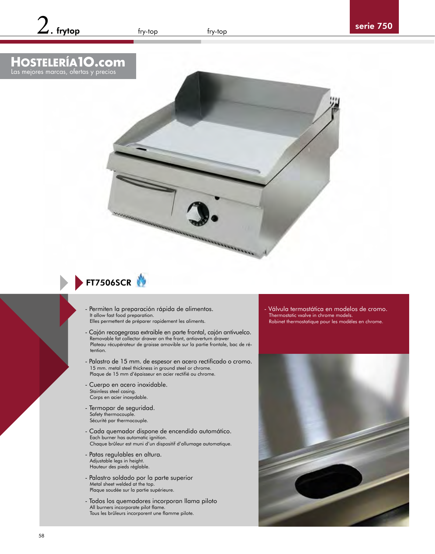## <span id="page-0-0"></span>**HOSTELERÍA1O.com** Las mejores marcas, ofertas y precios



## FT7506SCR

- Permiten la preparación rápida de alimentos. It allow fast food preparation.
- Elles permettent de préparer rapidement les aliments.
- Cajón recogegrasa extraible en parte frontal, cajón antivuelco. Removable fat collector drawer on the front, antioverturn drawer Plateau récupérateur de graisse amovible sur la partie frontale, bac de rétention.
- Palastro de 15 mm. de espesor en acero rectificado o cromo. 15 mm. metal steel thickness in ground steel or chrome. Plaque de 15 mm d'épaisseur en acier rectifié ou chrome.
- Cuerpo en acero inoxidable. Stainless steel casing. Corps en acier inoxydable.
- Termopar de seguridad. Safety thermocouple. Sécurité par thermocouple.
- Cada quemador dispone de encendido automático. Each burner has automatic ignition. Chaque brûleur est muni d'un dispositif d'allumage automatique.
- Patas regulables en altura. Adjustable legs in height. Hauteur des pieds réglable.
- Palastro soldado por la parte superior Metal sheet welded at the top. Plaque soudée sur la partie supérieure.
- Todos los quemadores incorporan llama piloto All burners incorporate pilot flame. Tous les brûleurs incorporent une flamme pilote.

Válvula termostática en modelos de cromo. Thermostatic vxalve in chrome models. Robinet thermostatique pour les modèles en chrome.

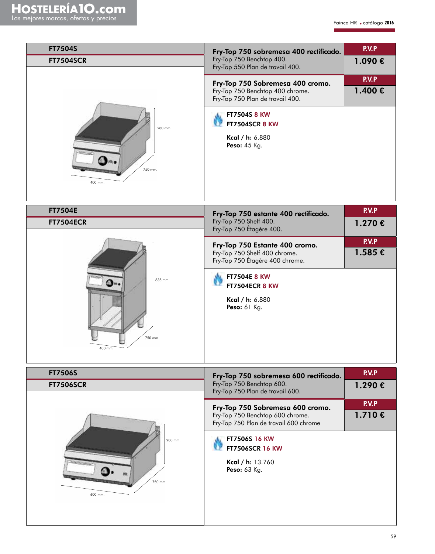| <b>FT7504S</b><br><b>FT7504SCR</b><br>280 mm.<br>750 mm.<br>400 mm. | Fry-Top 750 sobremesa 400 rectificado.<br>Fry-Top 750 Benchtop 400.<br>Fry-Top 550 Plan de travail 400.<br>Fry-Top 750 Sobremesa 400 cromo.<br>Fry-Top 750 Benchtop 400 chrome.<br>Fry-Top 750 Plan de travail 400.<br><b>FT7504S 8 KW</b><br><b>FT7504SCR 8 KW</b><br>Kcal / h: 6.880<br>Peso: 45 Kg.   | <b>P.V.P</b><br>1.090 €<br><b>P.V.P</b><br>$1.400 \in$ |
|---------------------------------------------------------------------|----------------------------------------------------------------------------------------------------------------------------------------------------------------------------------------------------------------------------------------------------------------------------------------------------------|--------------------------------------------------------|
| <b>FT7504E</b><br><b>FT7504ECR</b><br>835 mm.<br>750 mm.<br>400 mm. | Fry-Top 750 estante 400 rectificado.<br>Fry-Top 750 Shelf 400.<br>Fry-Top 750 Étagère 400.<br>Fry-Top 750 Estante 400 cromo.<br>Fry-Top 750 Shelf 400 chrome.<br>Fry-Top 750 Étagère 400 chrome.<br><b>FT7504E 8 KW</b><br><b>FT7504ECR 8 KW</b><br>Kcal / h: 6.880<br>Peso: 61 Kg.                      | <b>P.V.P</b><br>1.270 €<br>P.V.P<br>$1.585 \in$        |
| <b>FT7506S</b><br><b>FT7506SCR</b><br>280 mm.<br>750 mm.<br>600 mm. | Fry-Top 750 sobremesa 600 rectificado.<br>Fry-Top 750 Benchtop 600.<br>Fry-Top 750 Plan de travail 600.<br>Fry-Top 750 Sobremesa 600 cromo.<br>Fry-Top 750 Benchtop 600 chrome.<br>Fry-Top 750 Plan de travail 600 chrome<br>FT7506S 16 KW<br><b>FT7506SCR 16 KW</b><br>Kcal / h: 13.760<br>Peso: 63 Kg. | P.V.P<br>1.290 €<br><b>P.V.P</b><br>1.710 €            |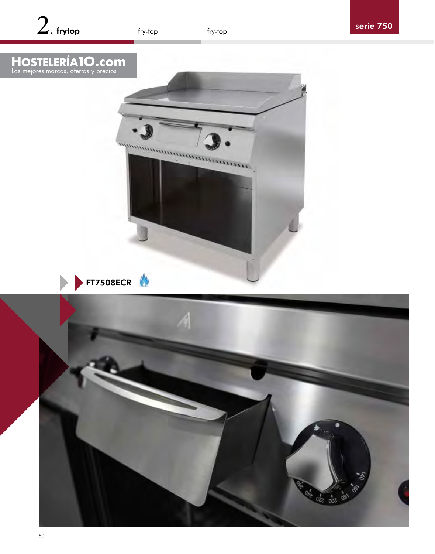